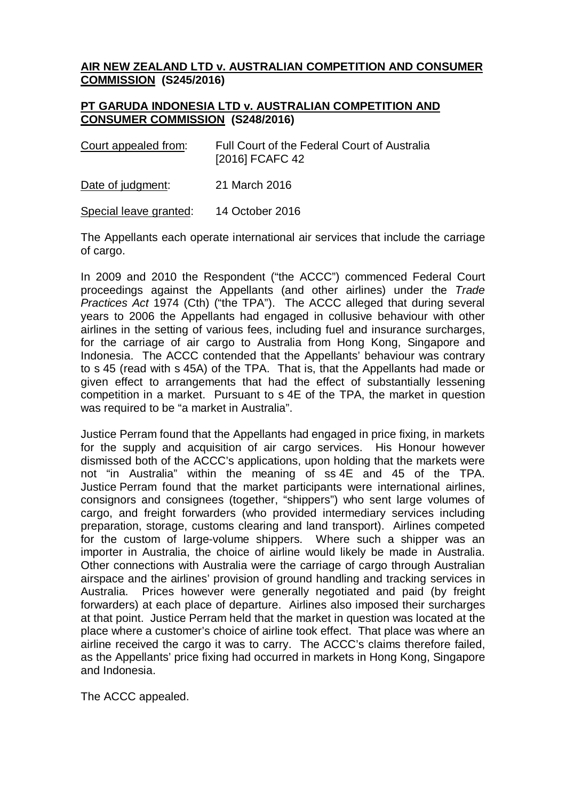## **AIR NEW ZEALAND LTD v. AUSTRALIAN COMPETITION AND CONSUMER COMMISSION (S245/2016)**

## **PT GARUDA INDONESIA LTD v. AUSTRALIAN COMPETITION AND CONSUMER COMMISSION (S248/2016)**

| Court appealed from: | Full Court of the Federal Court of Australia<br>[2016] FCAFC 42 |
|----------------------|-----------------------------------------------------------------|
|                      |                                                                 |

Date of judgment: 21 March 2016

Special leave granted: 14 October 2016

The Appellants each operate international air services that include the carriage of cargo.

In 2009 and 2010 the Respondent ("the ACCC") commenced Federal Court proceedings against the Appellants (and other airlines) under the *Trade Practices Act* 1974 (Cth) ("the TPA"). The ACCC alleged that during several years to 2006 the Appellants had engaged in collusive behaviour with other airlines in the setting of various fees, including fuel and insurance surcharges, for the carriage of air cargo to Australia from Hong Kong, Singapore and Indonesia. The ACCC contended that the Appellants' behaviour was contrary to s 45 (read with s 45A) of the TPA. That is, that the Appellants had made or given effect to arrangements that had the effect of substantially lessening competition in a market. Pursuant to s 4E of the TPA, the market in question was required to be "a market in Australia".

Justice Perram found that the Appellants had engaged in price fixing, in markets for the supply and acquisition of air cargo services. His Honour however dismissed both of the ACCC's applications, upon holding that the markets were not "in Australia" within the meaning of ss 4E and 45 of the TPA. Justice Perram found that the market participants were international airlines, consignors and consignees (together, "shippers") who sent large volumes of cargo, and freight forwarders (who provided intermediary services including preparation, storage, customs clearing and land transport). Airlines competed for the custom of large-volume shippers. Where such a shipper was an importer in Australia, the choice of airline would likely be made in Australia. Other connections with Australia were the carriage of cargo through Australian airspace and the airlines' provision of ground handling and tracking services in Australia. Prices however were generally negotiated and paid (by freight forwarders) at each place of departure. Airlines also imposed their surcharges at that point. Justice Perram held that the market in question was located at the place where a customer's choice of airline took effect. That place was where an airline received the cargo it was to carry. The ACCC's claims therefore failed, as the Appellants' price fixing had occurred in markets in Hong Kong, Singapore and Indonesia.

The ACCC appealed.